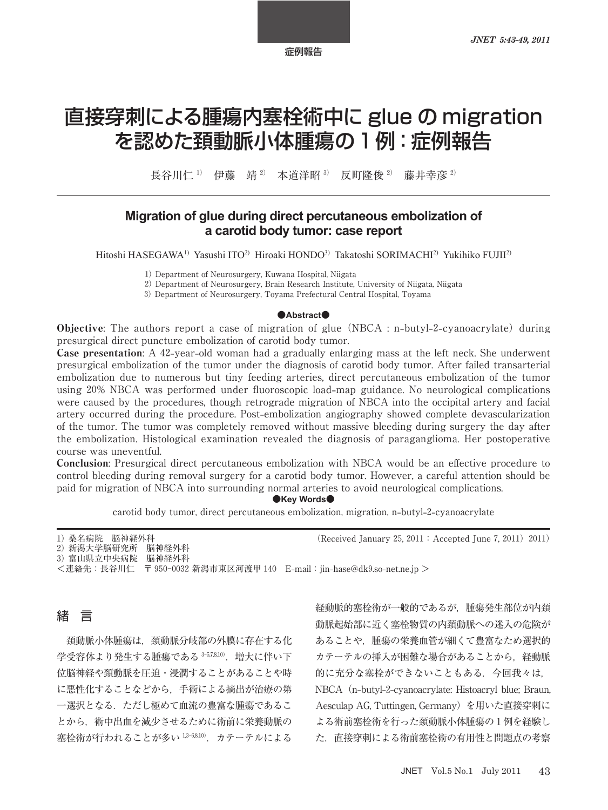# 直接穿刺による腫瘍内塞栓術中に glue の migration を認めた頚動脈小体腫瘍の1例:症例報告

長谷川仁<sup>1)</sup> 伊藤 靖<sup>2)</sup> 本道洋昭<sup>3)</sup> 反町降俊<sup>2)</sup> 藤井幸彦<sup>2)</sup>

# **Migration of glue during direct percutaneous embolization of** a carotid body tumor: case report

Hitoshi HASEGAWA<sup>1)</sup> Yasushi ITO<sup>2)</sup> Hiroaki HONDO<sup>3)</sup> Takatoshi SORIMACHI<sup>2)</sup> Yukihiko FUJII<sup>2)</sup>

Department of Neurosurgery, Kuwana Hospital, Niigata

2) Department of Neurosurgery, Brain Research Institute, University of Niigata, Niigata

Department of Neurosurgery, Toyama Prefectural Central Hospital, Toyama

#### ●**Abstract**●

Objective: The authors report a case of migration of glue NBCA : n**-**butyl**--**cyanoacrylate during presurgical direct puncture embolization of carotid body tumor.

**Case presentation:** A 42-year-old woman had a gradually enlarging mass at the left neck. She underwent presurgical embolization of the tumor under the diagnosis of carotid body tumor. After failed transarterial embolization due to numerous but tiny feeding arteries, direct percutaneous embolization of the tumor using % NBCA was performed under fluoroscopic load**-**map guidance. No neurological complications were caused by the procedures, though retrograde migration of NBCA into the occipital artery and facial artery occurred during the procedure. Post**-**embolization angiography showed complete devascularization of the tumor. The tumor was completely removed without massive bleeding during surgery the day after the embolization. Histological examination revealed the diagnosis of paraganglioma. Her postoperative course was uneventful.

Conclusion: Presurgical direct percutaneous embolization with NBCA would be an effective procedure to control bleeding during removal surgery for a carotid body tumor. However, a careful attention should be paid for migration of NBCA into surrounding normal arteries to avoid neurological complications.

 $\bullet$ **Key Words** $\bullet$ 

carotid body tumor, direct percutaneous embolization, migration, n**-**butyl**--**cyanoacrylate

1) 桑名病院 脳神経外科 (Received January 25, 2011 : Accepted June 7, 2011) 2011)

 新潟大学脳研究所 脳神経外科 富山県立中央病院 脳神経外科

<連絡先:長谷川仁 〒 新潟市東区河渡甲 E**-**mail:jin**-**hase@dk.so**-**net.ne.jp >

# 緒 言

頚動脈小体腫瘍は,頚動脈分岐部の外膜に存在する化 学受容体より発生する腫瘍である 3-5,78,10). 増大に伴い下 位脳神経や頚動脈を圧迫・浸潤することがあることや時 に悪性化することなどから,手術による摘出が治療の第 一選択となる.ただし極めて血流の豊富な腫瘍であるこ とから,術中出血を減少させるために術前に栄養動脈の 寒栓術が行われることが多い 1,3-6,8,10). カテーテルによる

経動脈的塞栓術が一般的であるが,腫瘍発生部位が内頚 動脈起始部に近く塞栓物質の内頚動脈への迷入の危険が あることや,腫瘍の栄養血管が細くて豊富なため選択的 カテーテルの挿入が困難な場合があることから,経動脈 的に充分な塞栓ができないこともある。今回我々は, NBCA(n**-**butyl**--**cyanoacrylate: Histoacryl blue; Braun, Aesculap AG, Tuttingen, Germany)を用いた直接穿刺に よる術前塞栓術を行った頚動脈小体腫瘍の1例を経験し た.直接穿刺による術前塞栓術の有用性と問題点の考察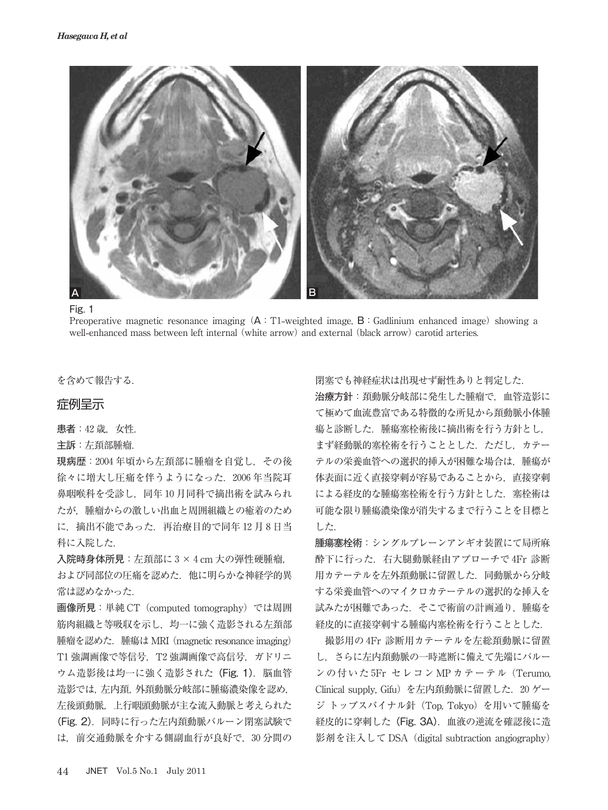

Fig. 1

Preoperative magnetic resonance imaging (A: T1-weighted image, B: Gadlinium enhanced image) showing a well-enhanced mass between left internal (white arrow) and external (black arrow) carotid arteries.

を含めて報告する.

## 症例呈示

患者: 42 歳. 女性.

主訴:左頚部腫瘤.

現病歴: 2004年頃から左頚部に腫瘤を自覚し、その後 徐々に増大し圧痛を伴うようになった. 2006年当院耳 鼻咽喉科を受診し、同年10月同科で摘出術を試みられ たが,腫瘤からの激しい出血と周囲組織との癒着のため に. 摘出不能であった. 再治療目的で同年12月8日当 科に入院した.

入院時身体所見: 左頚部に 3 × 4 cm 大の弾性硬腫瘤.

および同部位の圧痛を認めた.他に明らかな神経学的異 常は認めなかった.

画像所見:単純 CT(computed tomography)では周囲 筋肉組織と等吸収を示し,均一に強く造影される左頚部 腫瘤を認めた.腫瘍は MRI(magnetic resonance imaging) T1 強調画像で等信号, T2 強調画像で高信号, ガドリニ ウム造影後は均一に強く造影された (Fig. 1). 脳血管 造影では,左内頚,外頚動脈分岐部に腫瘍濃染像を認め, 左後頭動脈,上行咽頭動脈が主な流入動脈と考えられた (Fig. 2).同時に行った左内頚動脈バルーン閉塞試験で は,前交通動脈を介する側副血行が良好で, 分間の 閉塞でも神経症状は出現せず耐性ありと判定した. 治療方針:頚動脈分岐部に発生した腫瘤で,血管造影に て極めて血流豊富である特徴的な所見から頚動脈小体腫 瘍と診断した.腫瘍塞栓術後に摘出術を行う方針とし, まず経動脈的塞栓術を行うこととした. ただし、カテー テルの栄養血管への選択的挿入が困難な場合は、腫瘍が 体表面に近く直接穿刺が容易であることから,直接穿刺 による経皮的な腫瘍塞栓術を行う方針とした. 塞栓術は 可能な限り腫瘍濃染像が消失するまで行うことを目標と した.

腫瘍塞栓術:シングルプレーンアンギオ装置にて局所麻 酔下に行った. 右大腿動脈経由アプローチで4Fr 診断 用カテーテルを左外頚動脈に留置した.同動脈から分岐 する栄養血管へのマイクロカテーテルの選択的な挿入を 試みたが困難であった. そこで術前の計画通り, 腫瘍を 経皮的に直接穿刺する腫瘍内塞栓術を行うこととした.

撮影用の4Fr 診断用カテーテルを左総頚動脈に留置 し,さらに左内頚動脈の一時遮断に備えて先端にバルー ンの付いた Fr セレコン MP カテーテル(Terumo, Clinical supply, Gifu)を左内頚動脈に留置した. ゲー ジ トップスパイナル針(Top, Tokyo)を用いて腫瘍を 経皮的に穿刺した(Fig. 3A).血液の逆流を確認後に造 影剤を注入して DSA (digital subtraction angiography)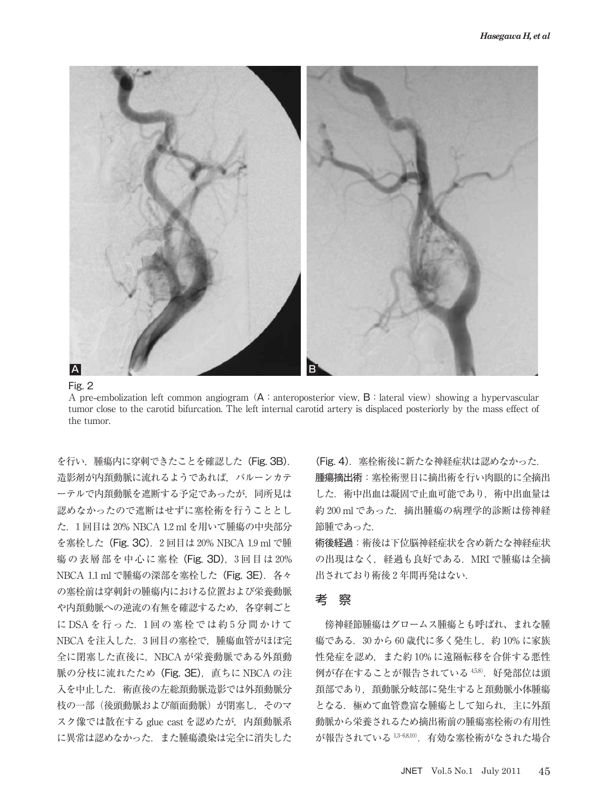

Fig. 2

A pre-embolization left common angiogram  $(A \in \mathcal{A})$  anteroposterior view,  $B \in \mathcal{A}$  is lateral view) showing a hypervascular tumor close to the carotid bifurcation. The left internal carotid artery is displaced posteriorly by the mass effect of the tumor.

を行い, 腫瘍内に穿刺できたことを確認した (Fig. 3B). 造影剤が内頚動脈に流れるようであれば、バルーンカテ ーテルで内頚動脈を遮断する予定であったが,同所見は 認めなかったので遮断はせずに塞栓術を行うこととし た. 1回目は 20% NBCA 1.2 ml を用いて腫瘍の中央部分 を塞栓した (Fig. 3C). 2回目は 20% NBCA 1.9 ml で腫 瘍の表層部を中心に塞栓 (Fig. 3D), 3回目は 20% NBCA 1.1 ml で腫瘍の深部を塞栓した (Fig. 3E). 各々 の塞栓前は穿刺針の腫瘍内における位置および栄養動脈 や内頚動脈への逆流の有無を確認するため、各穿刺ごと に DSA を行った. 1回の塞栓では約5分間かけて NBCA を注入した. 3回目の塞栓で、腫瘍血管がほぼ完 全に閉塞した直後に, NBCA が栄養動脈である外頚動 脈の分枝に流れたため (Fig. 3E), 直ちに NBCA の注 入を中止した. 術直後の左総頚動脈造影では外頚動脈分 枝の一部(後頭動脈および顔面動脈)が閉塞し,そのマ スク像では散在する glue cast を認めたが、内頚動脈系 に異常は認めなかった.また腫瘍濃染は完全に消失した

(Fig. 4). 塞栓術後に新たな神経症状は認めなかった. 腫瘍摘出術:塞栓術翌日に摘出術を行い肉眼的に全摘出 した.術中出血は凝固で止血可能であり,術中出血量は 約 200 ml であった. 摘出腫瘍の病理学的診断は傍神経 節腫であった.

術後経過:術後は下位脳神経症状を含め新たな神経症状 の出現はなく、経過も良好である. MRI で腫瘍は全摘 出されており術後2年間再発はない.

## 考 察

傍神経節腫瘍はグロームス腫瘍とも呼ばれ、まれな腫 瘍である. 30 から 60 歳代に多く発生し、約 10% に家族 性発症を認め、また約10%に遠隔転移を合併する悪性 例が存在することが報告されている 458). 好発部位は頭 頚部であり,頚動脈分岐部に発生すると頚動脈小体腫瘍 となる. 極めて血管豊富な腫瘍として知られ、主に外頚 動脈から栄養されるため摘出術前の腫瘍塞栓術の有用性 が報告されている 1,3-68,10). 有効な塞栓術がなされた場合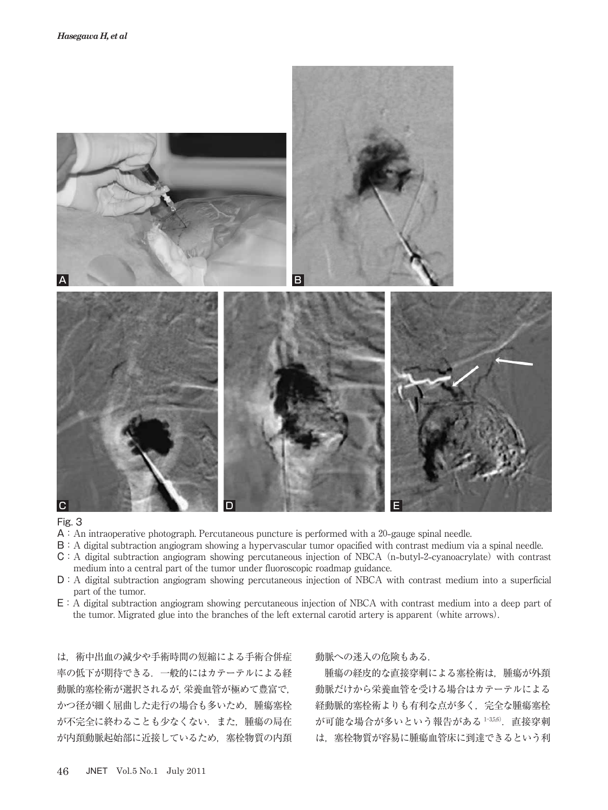

#### Fig. 3

- A: An intraoperative photograph. Percutaneous puncture is performed with a 20-gauge spinal needle.
- B:A digital subtraction angiogram showing a hypervascular tumor opacified with contrast medium via a spinal needle.
- C:A digital subtraction angiogram showing percutaneous injection of NBCA n**-**butyl**--**cyanoacrylate with contrast medium into a central part of the tumor under fluoroscopic roadmap guidance.
- D:A digital subtraction angiogram showing percutaneous injection of NBCA with contrast medium into a superficial part of the tumor.
- E:A digital subtraction angiogram showing percutaneous injection of NBCA with contrast medium into a deep part of the tumor. Migrated glue into the branches of the left external carotid artery is apparent (white arrows).

は,術中出血の減少や手術時間の短縮による手術合併症 率の低下が期待できる.一般的にはカテーテルによる経 動脈的塞栓術が選択されるが,栄養血管が極めて豊富で, かつ径が細く屈曲した走行の場合も多いため、腫瘍塞栓 が不完全に終わることも少なくない.また,腫瘍の局在 が内頚動脈起始部に近接しているため,塞栓物質の内頚

#### 動脈への迷入の危険もある.

腫瘍の経皮的な直接穿刺による塞栓術は、腫瘍が外頚 動脈だけから栄養血管を受ける場合はカテーテルによる 経動脈的塞栓術よりも有利な点が多く、完全な腫瘍塞栓 が可能な場合が多いという報告がある $1-356$ . 直接穿刺 は,塞栓物質が容易に腫瘍血管床に到達できるという利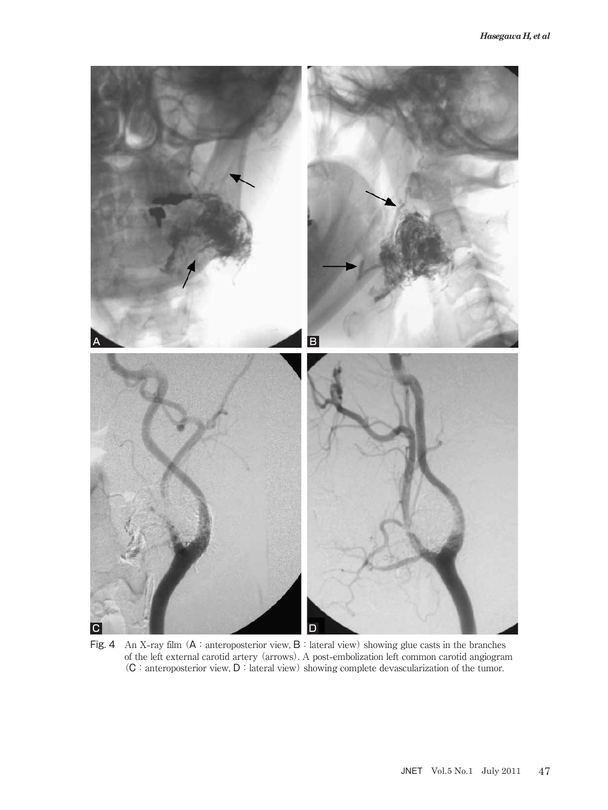

Fig. 4 An X-ray film  $(A :$ anteroposterior view,  $B :$ lateral view) showing glue casts in the branches of the left external carotid artery arrows. A post**-**embolization left common carotid angiogram  $(C:$  anteroposterior view,  $D:$  lateral view) showing complete devascularization of the tumor.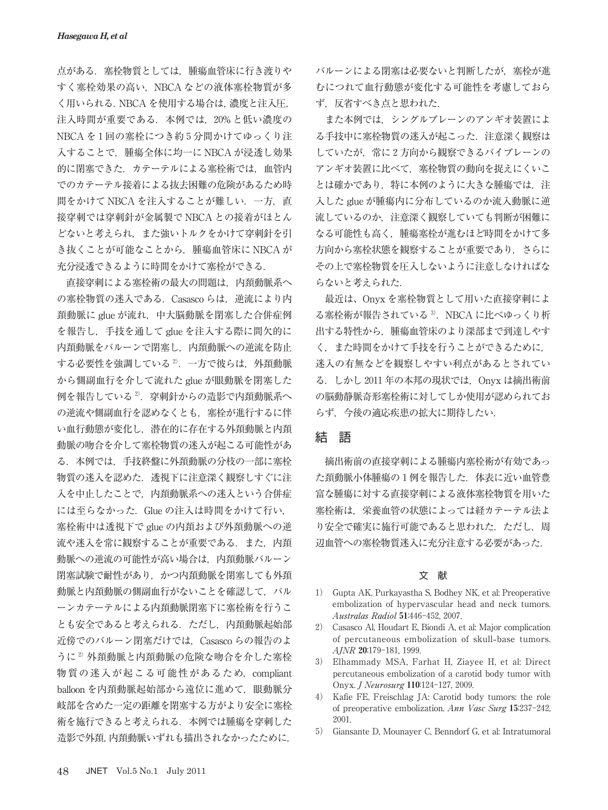点がある.塞栓物質としては,腫瘍血管床に行き渡りや すく塞栓効果の高い, NBCA などの液体塞栓物質が多 く用いられる.NBCA を使用する場合は,濃度と注入圧, 注入時間が重要である. 本例では、20%と低い濃度の NBCA を1回の塞栓につき約5分間かけてゆっくり注 入することで,腫瘍全体に均一に NBCA が浸透し効果 的に閉塞できた. カテーテルによる塞栓術では、血管内 でのカテーテル接着による抜去困難の危険があるため時 間をかけて NBCA を注入することが難しい.一方,直 接穿刺では穿刺針が金属製で NBCA との接着がほとん どないと考えられ,また強いトルクをかけて穿刺針を引 き抜くことが可能なことから,腫瘍血管床に NBCA が 充分浸透できるように時間をかけて塞栓ができる.

直接穿刺による塞栓術の最大の問題は,内頚動脈系へ の塞栓物質の迷入である. Casasco らは、逆流により内 頚動脈に glue が流れ,中大脳動脈を閉塞した合併症例 を報告し,手技を通して glue を注入する際に間欠的に 内頚動脈をバルーンで閉塞し,内頚動脈への逆流を防止 する必要性を強調している2. 一方で彼らは、外頚動脈 から側副血行を介して流れた glue が眼動脈を閉塞した 例を報告している<sup>2)</sup>. 穿刺針からの造影で内頚動脈系へ の逆流や側副血行を認めなくとも,塞栓が進行するに伴 い血行動態が変化し,潜在的に存在する外頚動脈と内頚 動脈の吻合を介して塞栓物質の迷入が起こる可能性があ る.本例では,手技終盤に外頚動脈の分枝の一部に塞栓 物質の迷入を認めた.透視下に注意深く観察しすぐに注 入を中止したことで,内頚動脈系への迷入という合併症 には至らなかった. Glue の注入は時間をかけて行い. 塞栓術中は透視下で glue の内頚および外頚動脈への逆 流や迷入を常に観察することが重要である.また. 内頚 動脈への逆流の可能性が高い場合は,内頚動脈バルーン 閉塞試験で耐性があり,かつ内頚動脈を閉塞しても外頚 動脈と内頚動脈の側副血行がないことを確認して、バル ーンカテーテルによる内頚動脈閉塞下に塞栓術を行うこ とも安全であると考えられる.ただし,内頚動脈起始部 近傍でのバルーン閉塞だけでは、Casasco らの報告のよ うに<sup>2)</sup> 外頚動脈と内頚動脈の危険な吻合を介した塞栓 物質の迷入が起こる可能性があるため、compliant balloon を内頚動脈起始部から遠位に進めて、眼動脈分 岐部を含めた一定の距離を閉塞する方がより安全に塞栓 術を施行できると考えられる.本例では腫瘍を穿刺した 造影で外頚,内頚動脈いずれも描出されなかったために,

バルーンによる閉塞は必要ないと判断したが,塞栓が進 むにつれて血行動態が変化する可能性を考慮しておら ず,反省すべき点と思われた.

また本例では,シングルプレーンのアンギオ装置によ る手技中に塞栓物質の迷入が起こった. 注意深く観察は していたが、常に2方向から観察できるバイプレーンの アンギオ装置に比べて,塞栓物質の動向を捉えにくいこ とは確かであり、特に本例のように大きな腫瘍では、注 入した glue が腫瘍内に分布しているのか流入動脈に逆 流しているのか,注意深く観察していても判断が困難に なる可能性も高く,腫瘍塞栓が進むほど時間をかけて多 方向から塞栓状態を観察することが重要であり,さらに その上で塞栓物質を圧入しないように注意しなければな らないと考えられた.

最近は、Onyx を塞栓物質として用いた直接穿刺によ る塞栓術が報告されている<sup>3)</sup>. NBCA に比べゆっくり析 出する特性から,腫瘍血管床のより深部まで到達しやす く,また時間をかけて手技を行うことができるために, 迷入の有無などを観察しやすい利点があるとされてい る. しかし 2011 年の本邦の現状では、Onyx は摘出術前 の脳動静脈奇形塞栓術に対してしか使用が認められてお らず,今後の適応疾患の拡大に期待したい.

## 結 語

摘出術前の直接穿刺による腫瘍内塞栓術が有効であっ た頚動脈小体腫瘍の1例を報告した. 体表に近い血管豊 富な腫瘍に対する直接穿刺による液体塞栓物質を用いた 塞栓術は,栄養血管の状態によっては経カテーテル法よ り安全で確実に施行可能であると思われた. ただし, 周 辺血管への塞栓物質迷入に充分注意する必要があった.

#### 文 献

- ) Gupta AK, Purkayastha S, Bodhey NK, et al: Preoperative embolization of hypervascular head and neck tumors. Australas Radiol 51:446-452, 2007.
- ) Casasco Al, Houdart E, Biondi A, et al: Major complication of percutaneous embolization of skull**-**base tumors.  $A/NR$  20:179-181, 1999.
- ) Elhammady MSA, Farhat H, Ziayee H, et al: Direct percutaneous embolization of a carotid body tumor with Onyx. *J Neurosurg* 110:124-127, 2009.
- ) Kafie FE, Freischlag JA: Carotid body tumors: the role of preoperative embolization. Ann Vasc Surg  $15:237-242$ . 2001.
- ) Giansante D, Mounayer C, Benndorf G, et al: Intratumoral